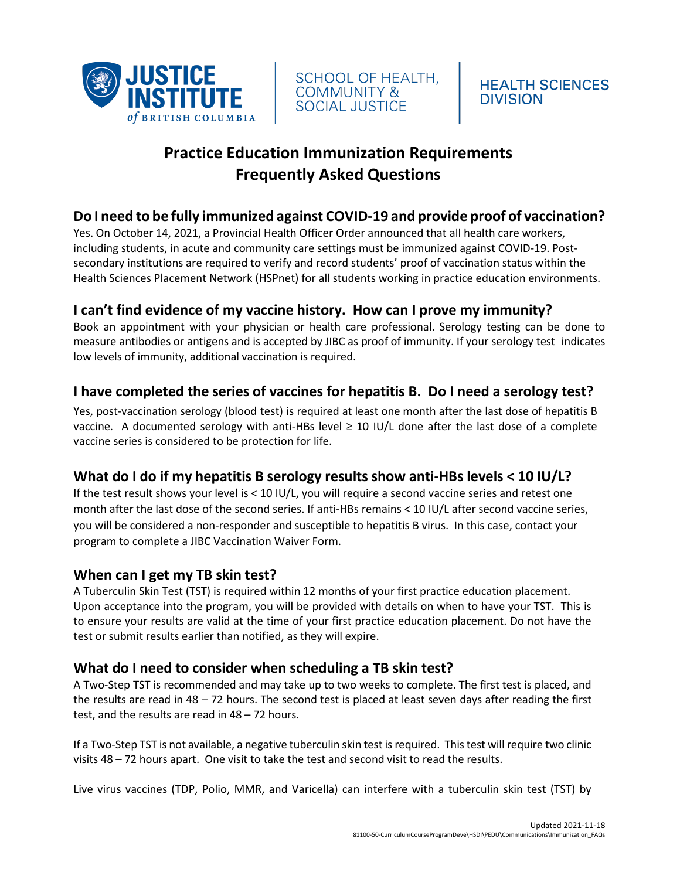





# **Practice Education Immunization Requirements Frequently Asked Questions**

## **Do I need to be fully immunized against COVID-19 and provide proof of vaccination?**

Yes. On October 14, 2021, a Provincial Health Officer Order announced that all health care workers, including students, in acute and community care settings must be immunized against COVID-19. Postsecondary institutions are required to verify and record students' proof of vaccination status within the Health Sciences Placement Network (HSPnet) for all students working in practice education environments.

## **I can't find evidence of my vaccine history. How can I prove my immunity?**

Book an appointment with your physician or health care professional. Serology testing can be done to measure antibodies or antigens and is accepted by JIBC as proof of immunity. If your serology test indicates low levels of immunity, additional vaccination is required.

## **I have completed the series of vaccines for hepatitis B. Do I need a serology test?**

Yes, post-vaccination serology (blood test) is required at least one month after the last dose of hepatitis B vaccine. A documented serology with anti-HBs level  $\geq$  10 IU/L done after the last dose of a complete vaccine series is considered to be protection for life.

## **What do I do if my hepatitis B serology results show anti-HBs levels < 10 IU/L?**

If the test result shows your level is < 10 IU/L, you will require a second vaccine series and retest one month after the last dose of the second series. If anti-HBs remains < 10 IU/L after second vaccine series, you will be considered a non-responder and susceptible to hepatitis B virus. In this case, contact your program to complete a JIBC Vaccination Waiver Form.

## **When can I get my TB skin test?**

A Tuberculin Skin Test (TST) is required within 12 months of your first practice education placement. Upon acceptance into the program, you will be provided with details on when to have your TST. This is to ensure your results are valid at the time of your first practice education placement. Do not have the test or submit results earlier than notified, as they will expire.

## **What do I need to consider when scheduling a TB skin test?**

A Two-Step TST is recommended and may take up to two weeks to complete. The first test is placed, and the results are read in 48 – 72 hours. The second test is placed at least seven days after reading the first test, and the results are read in 48 – 72 hours.

If a Two-Step TST is not available, a negative tuberculin skin test is required. This test will require two clinic visits 48 – 72 hours apart. One visit to take the test and second visit to read the results.

Live virus vaccines (TDP, Polio, MMR, and Varicella) can interfere with a tuberculin skin test (TST) by